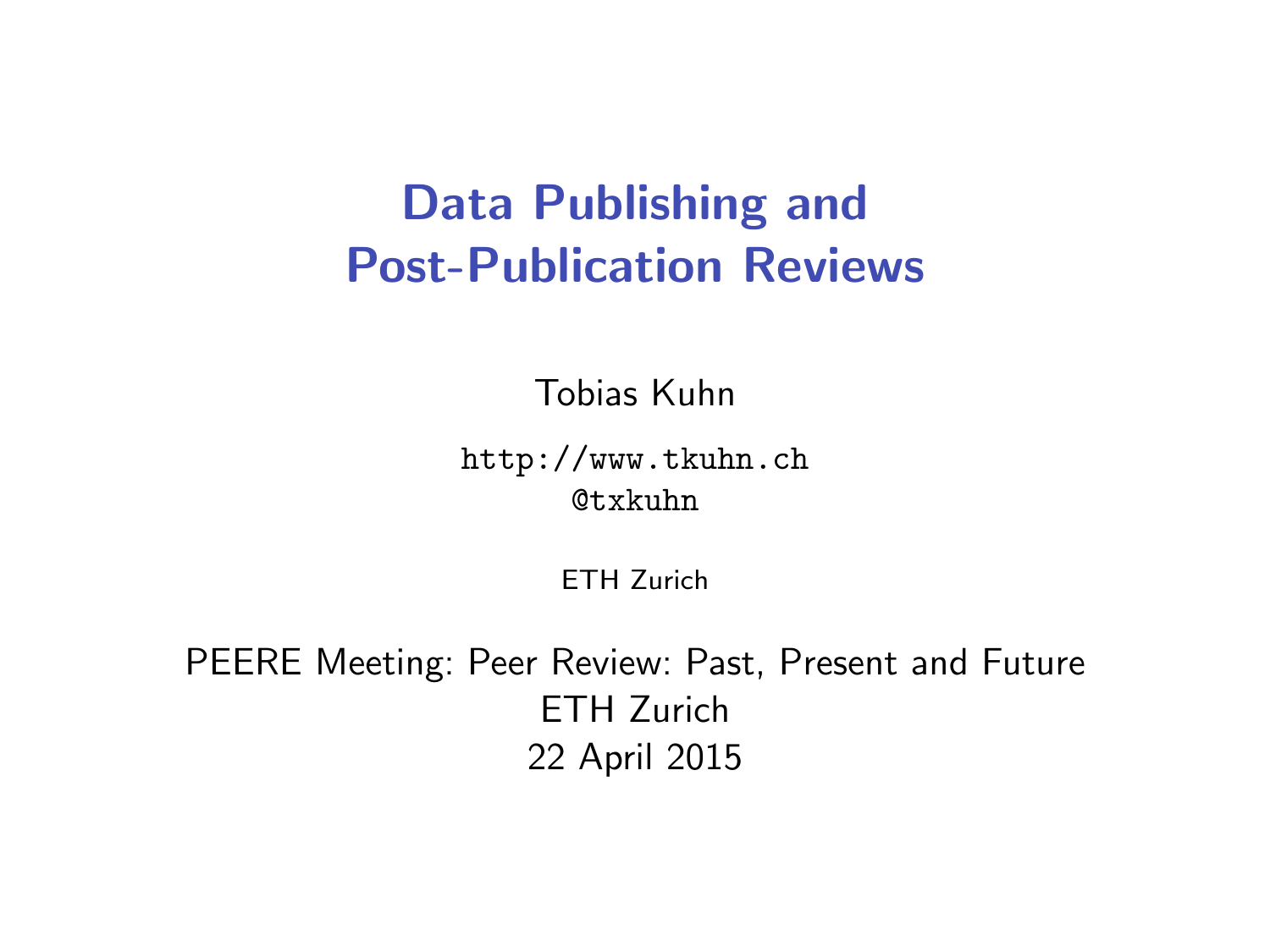## <span id="page-0-0"></span>Data Publishing and Post-Publication Reviews

Tobias Kuhn

<http://www.tkuhn.ch> @txkuhn

ETH Zurich

PEERE Meeting: Peer Review: Past, Present and Future ETH Zurich 22 April 2015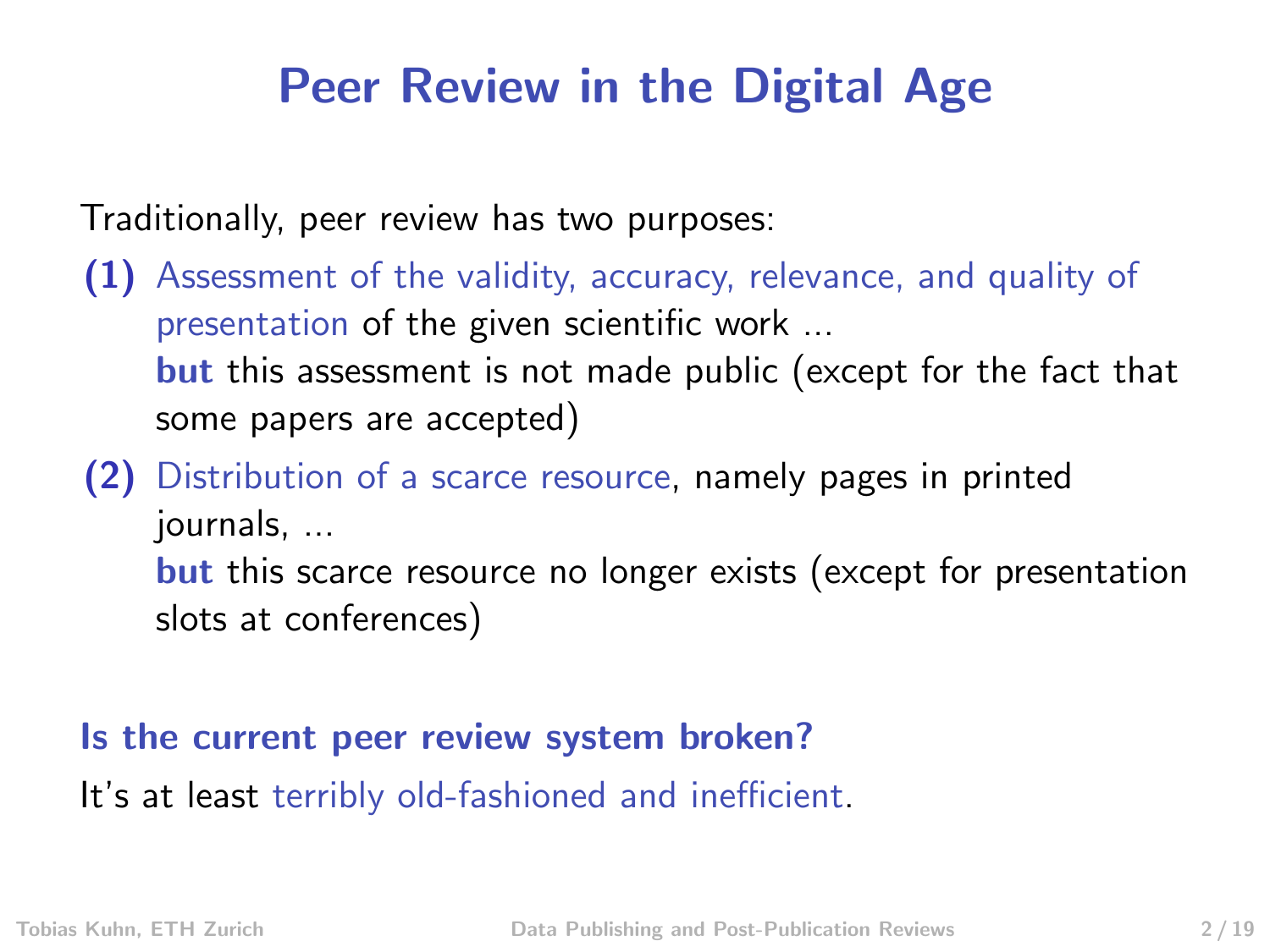### Peer Review in the Digital Age

Traditionally, peer review has two purposes:

- (1) Assessment of the validity, accuracy, relevance, and quality of presentation of the given scientific work ... **but** this assessment is not made public (except for the fact that some papers are accepted)
- (2) Distribution of a scarce resource, namely pages in printed journals, ... **but** this scarce resource no longer exists (except for presentation slots at conferences)

### Is the current peer review system broken?

It's at least terribly old-fashioned and inefficient.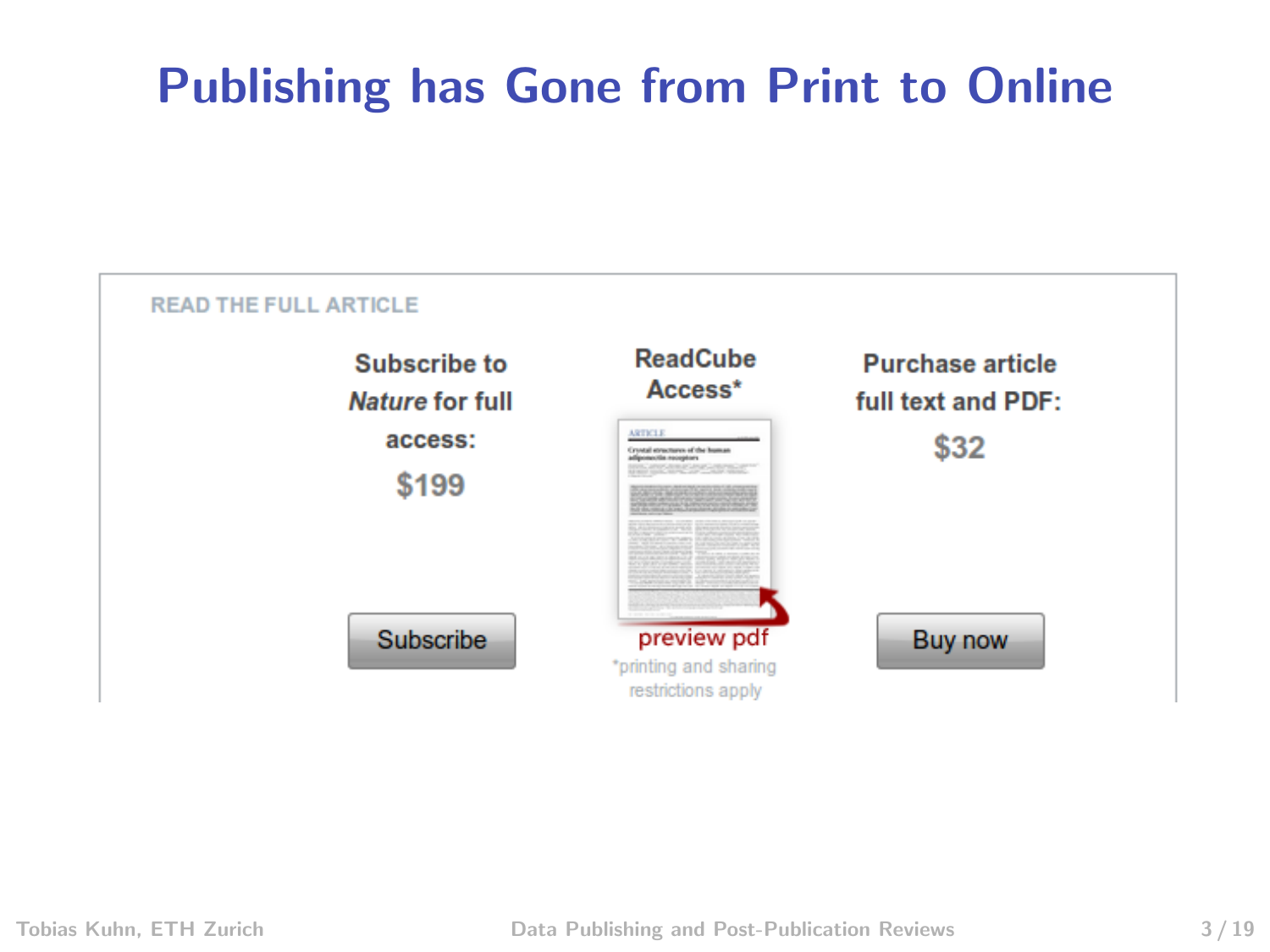# Publishing has Gone from Print to Online

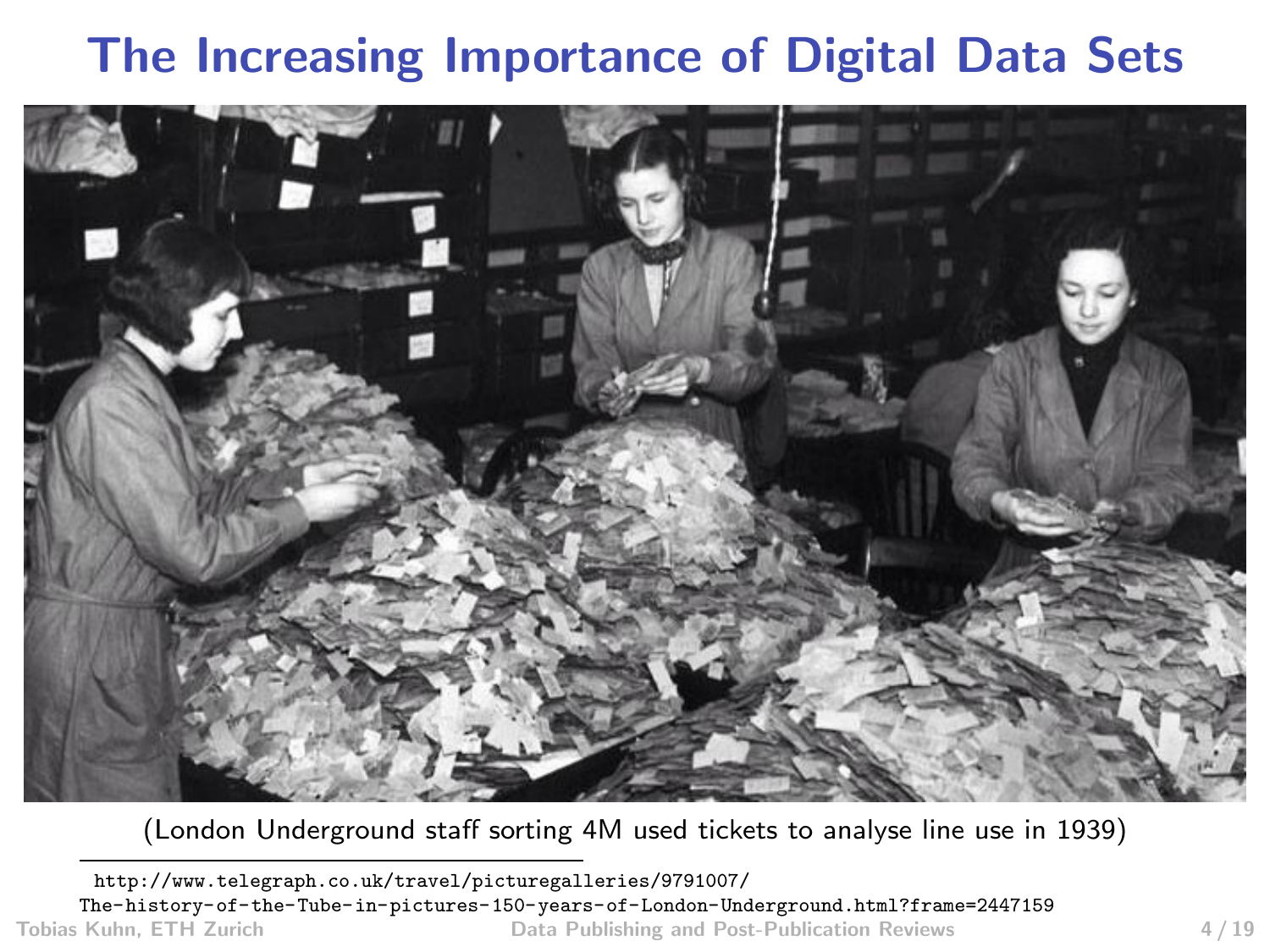## The Increasing Importance of Digital Data Sets



(London Underground staff sorting 4M used tickets to analyse line use in 1939)

[http://www.telegraph.co.uk/travel/picturegalleries/9791007/](http://www.telegraph.co.uk/travel/picturegalleries/9791007/The-history-of-the-Tube-in-pictures-150-years-of-London-Underground.html?frame=2447159) [The-history-of-the-Tube-in-pictures-150-years-of-London-Underground.html?frame=2447159](http://www.telegraph.co.uk/travel/picturegalleries/9791007/The-history-of-the-Tube-in-pictures-150-years-of-London-Underground.html?frame=2447159) Data Publishing and Post-Publication Reviews 4 / 19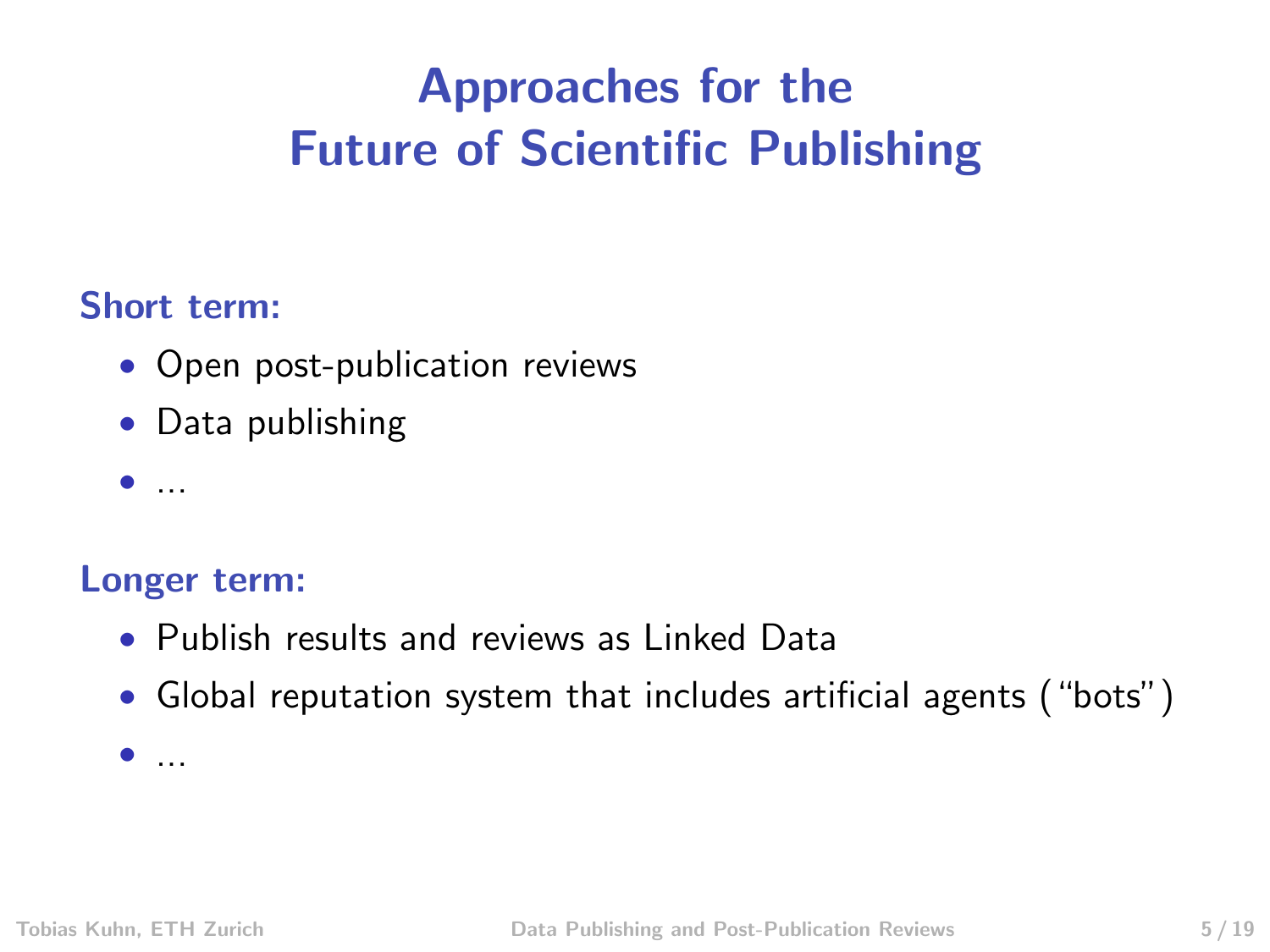# Approaches for the Future of Scientific Publishing

### Short term:

- Open post-publication reviews
- Data publishing
- $\bullet$  ...

### Longer term:

- Publish results and reviews as Linked Data
- Global reputation system that includes artificial agents ("bots")

 $\bullet$  ...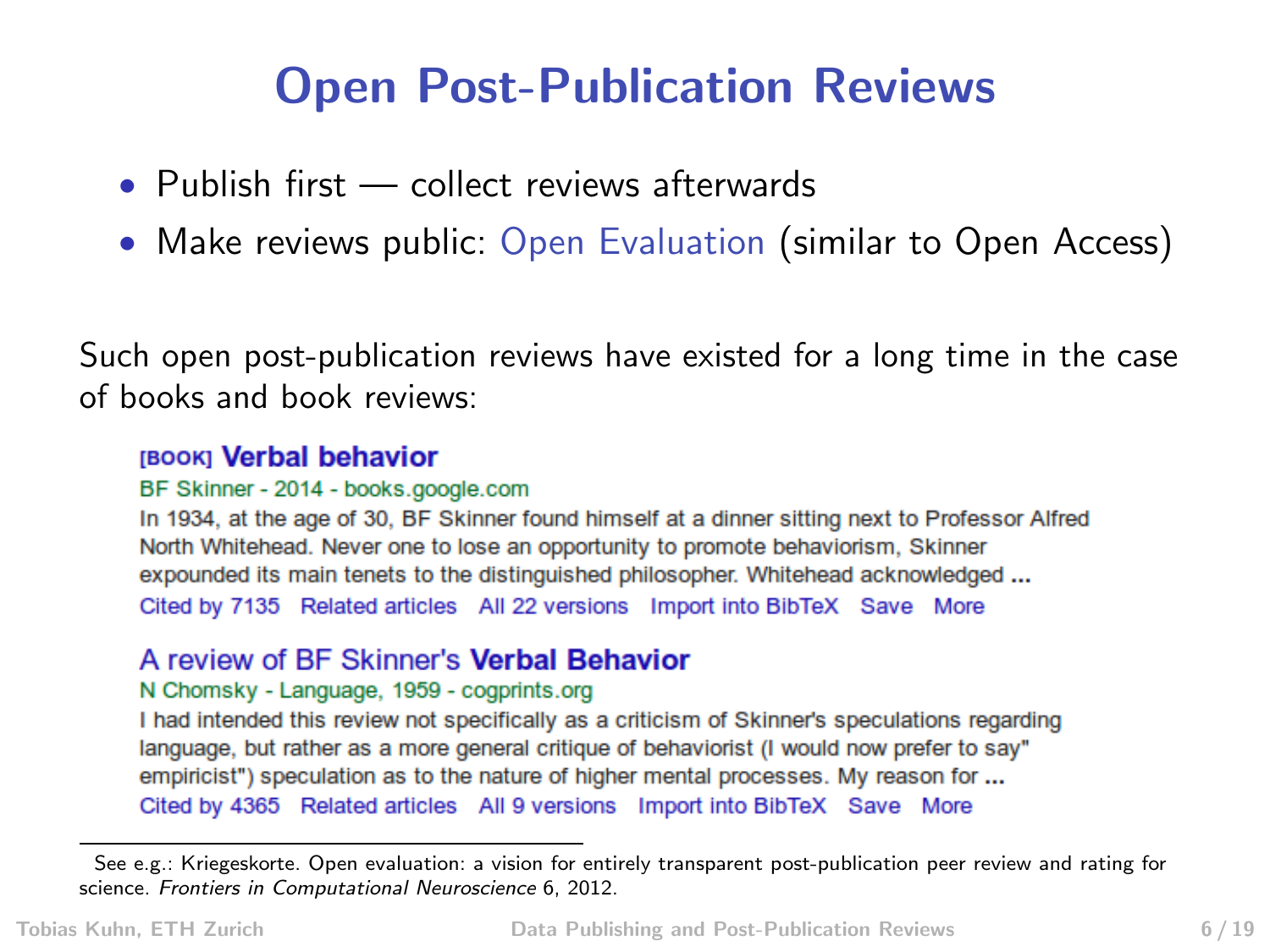### Open Post-Publication Reviews

- Publish first collect reviews afterwards
- Make reviews public: Open Evaluation (similar to Open Access)

Such open post-publication reviews have existed for a long time in the case of books and book reviews:

#### **IBOOKI Verbal behavior**

#### BF Skinner - 2014 - books.google.com

In 1934, at the age of 30, BF Skinner found himself at a dinner sitting next to Professor Alfred North Whitehead. Never one to lose an opportunity to promote behaviorism, Skinner expounded its main tenets to the distinguished philosopher. Whitehead acknowledged ... Cited by 7135 Related articles All 22 versions Import into BibTeX Save More

#### A review of BF Skinner's Verbal Behavior

#### N Chomsky - Language, 1959 - cogprints.org

I had intended this review not specifically as a criticism of Skinner's speculations regarding language, but rather as a more general critique of behaviorist (I would now prefer to say" empiricist") speculation as to the nature of higher mental processes. My reason for ... Cited by 4365 Related articles All 9 versions Import into BibTeX Save More

See e.g.: Kriegeskorte. Open evaluation: a vision for entirely transparent post-publication peer review and rating for science. Frontiers in Computational Neuroscience 6, 2012.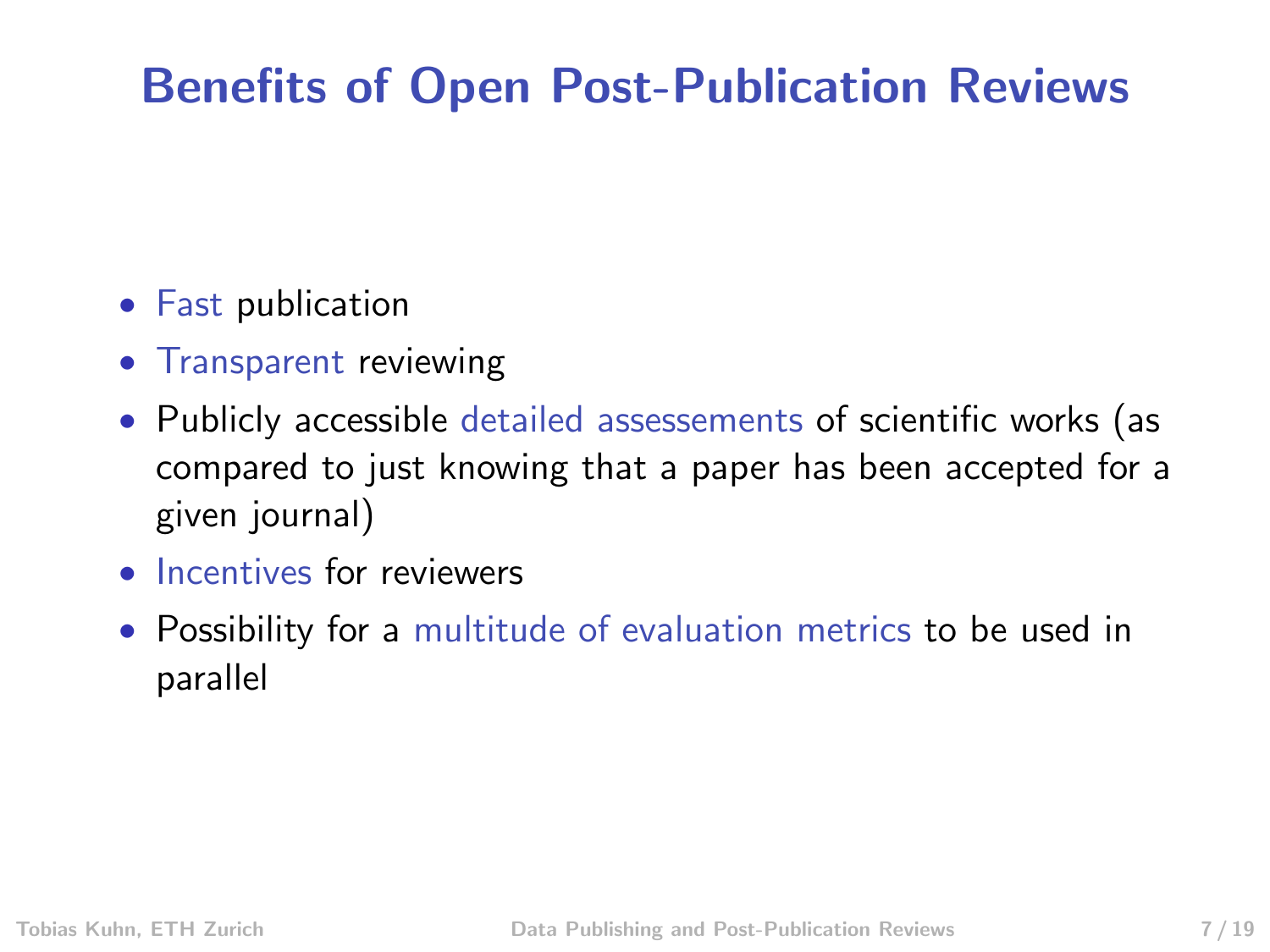## Benefits of Open Post-Publication Reviews

- Fast publication
- Transparent reviewing
- Publicly accessible detailed assessements of scientific works (as compared to just knowing that a paper has been accepted for a given journal)
- Incentives for reviewers
- Possibility for a multitude of evaluation metrics to be used in parallel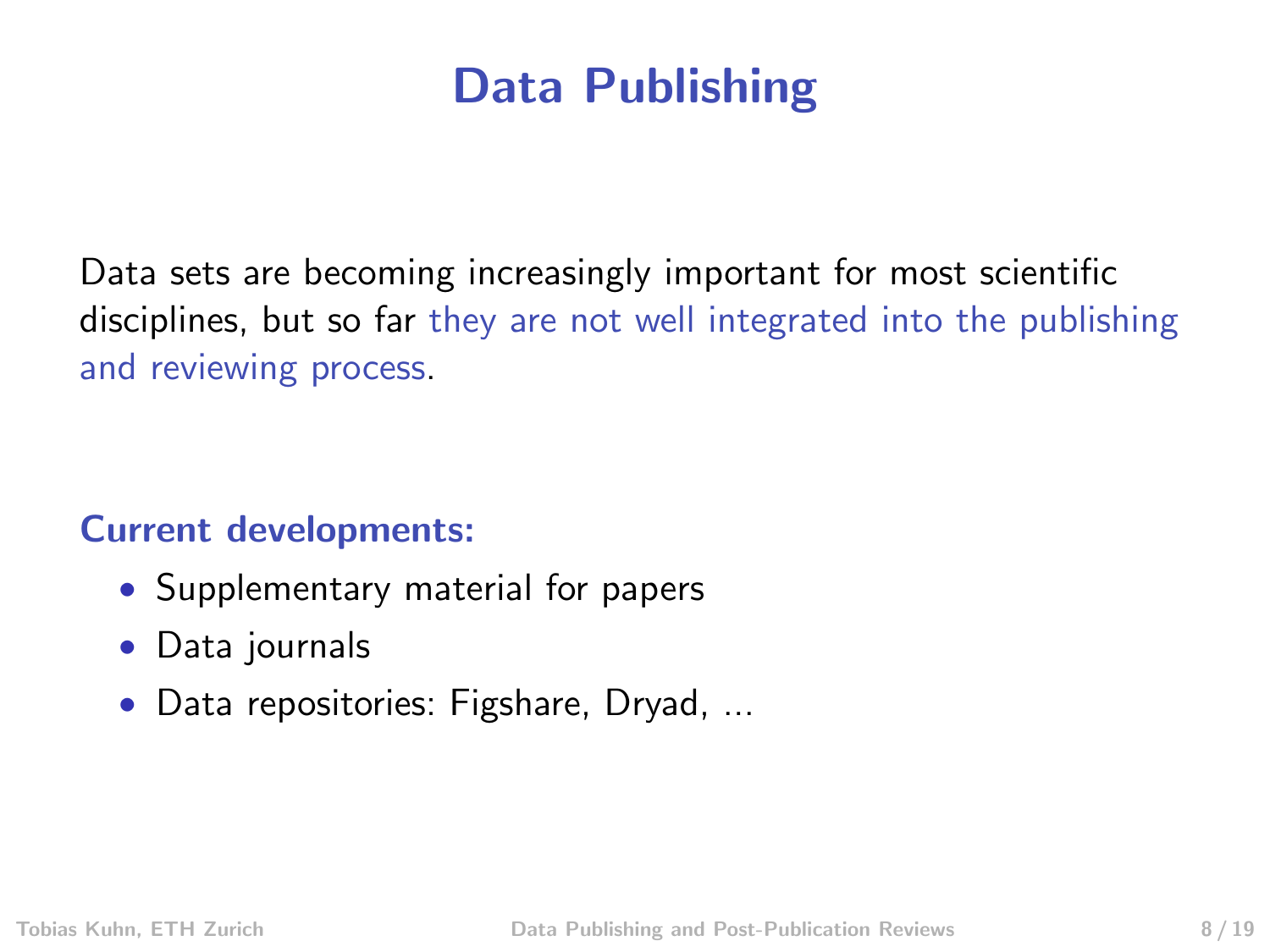### Data Publishing

Data sets are becoming increasingly important for most scientific disciplines, but so far they are not well integrated into the publishing and reviewing process.

### Current developments:

- Supplementary material for papers
- Data journals
- Data repositories: Figshare, Dryad, ...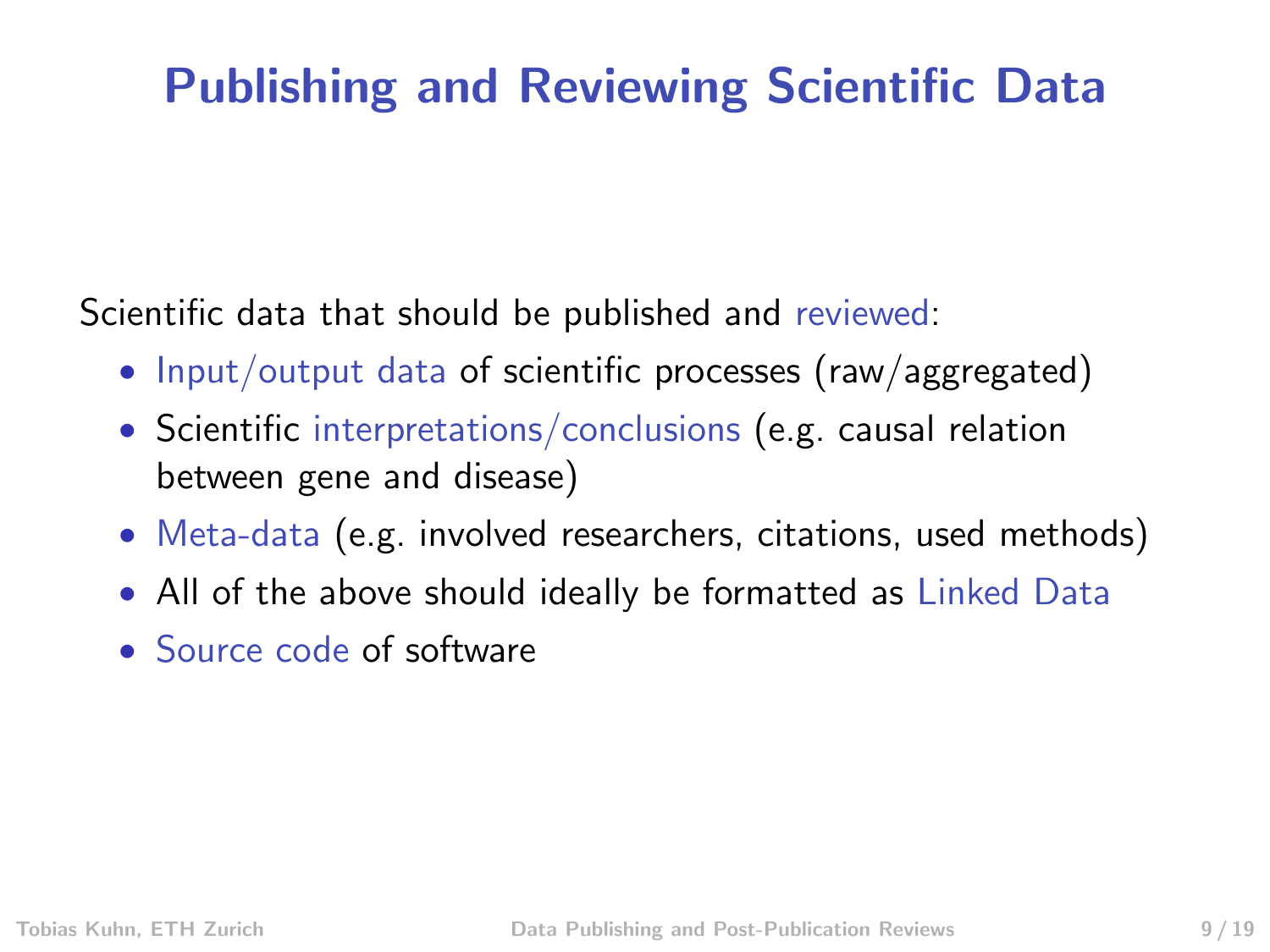## Publishing and Reviewing Scientific Data

Scientific data that should be published and reviewed:

- Input/output data of scientific processes (raw/aggregated)
- Scientific interpretations/conclusions (e.g. causal relation between gene and disease)
- Meta-data (e.g. involved researchers, citations, used methods)
- All of the above should ideally be formatted as Linked Data
- Source code of software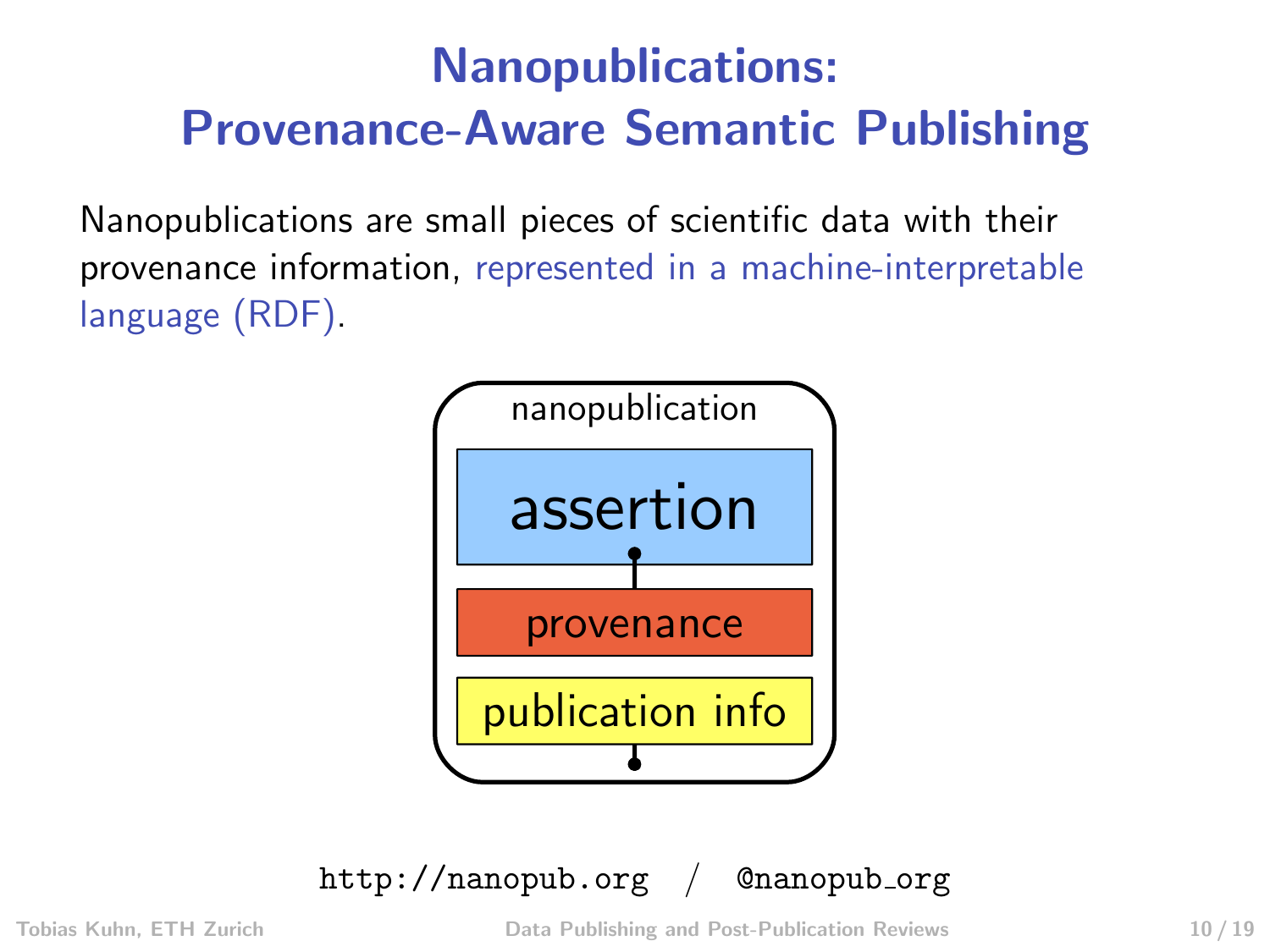# Nanopublications: Provenance-Aware Semantic Publishing

Nanopublications are small pieces of scientific data with their provenance information, represented in a machine-interpretable language (RDF).



<http://nanopub.org> /  $@nanoph.org$ 

Tobias Kuhn, ETH Zurich [Data Publishing and Post-Publication Reviews](#page-0-0) 10 / 19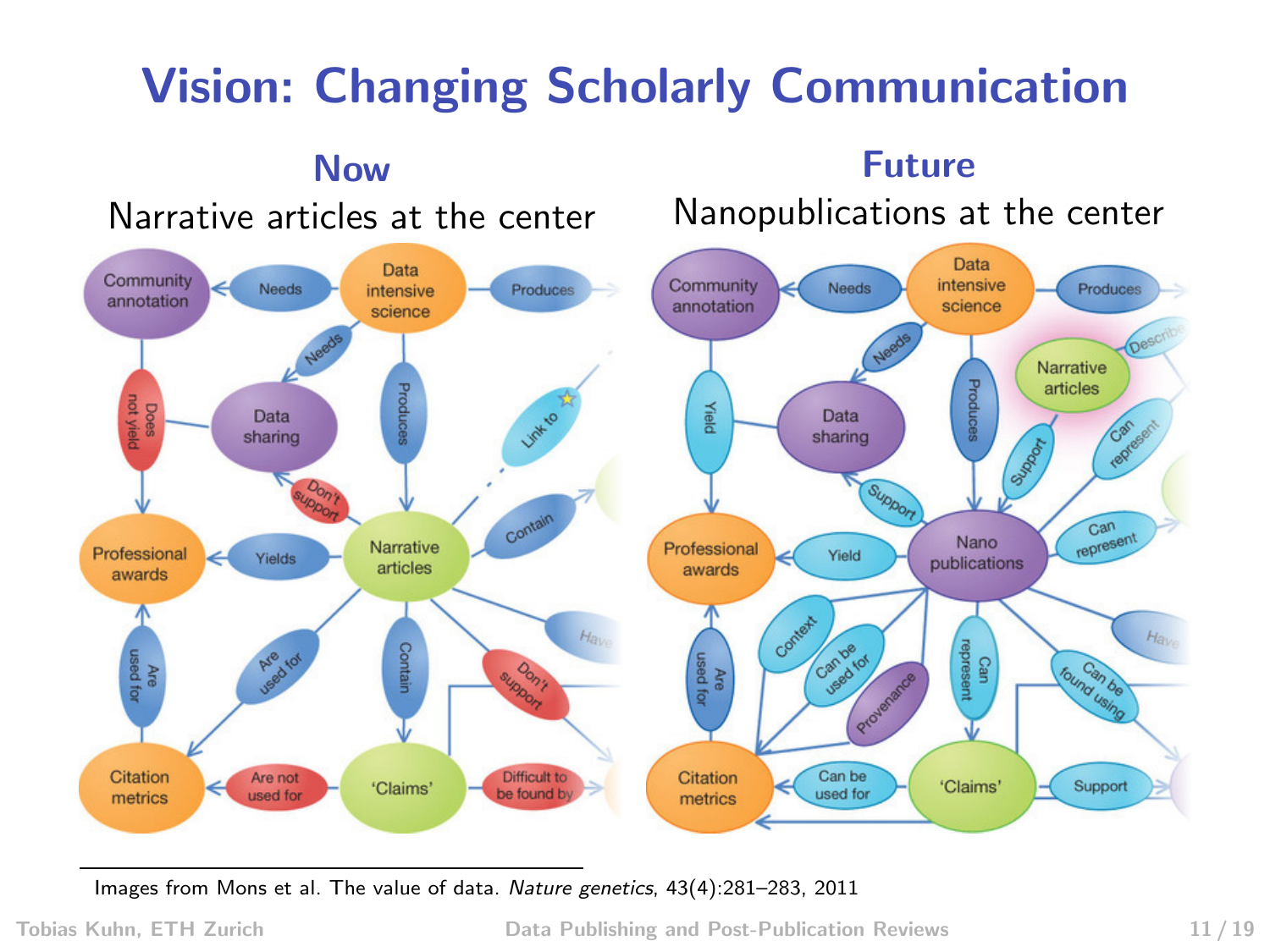# Vision: Changing Scholarly Communication



Images from Mons et al. The value of data. Nature genetics, 43(4):281–283, 2011

Tobias Kuhn, ETH Zurich [Data Publishing and Post-Publication Reviews](#page-0-0) 11 / 19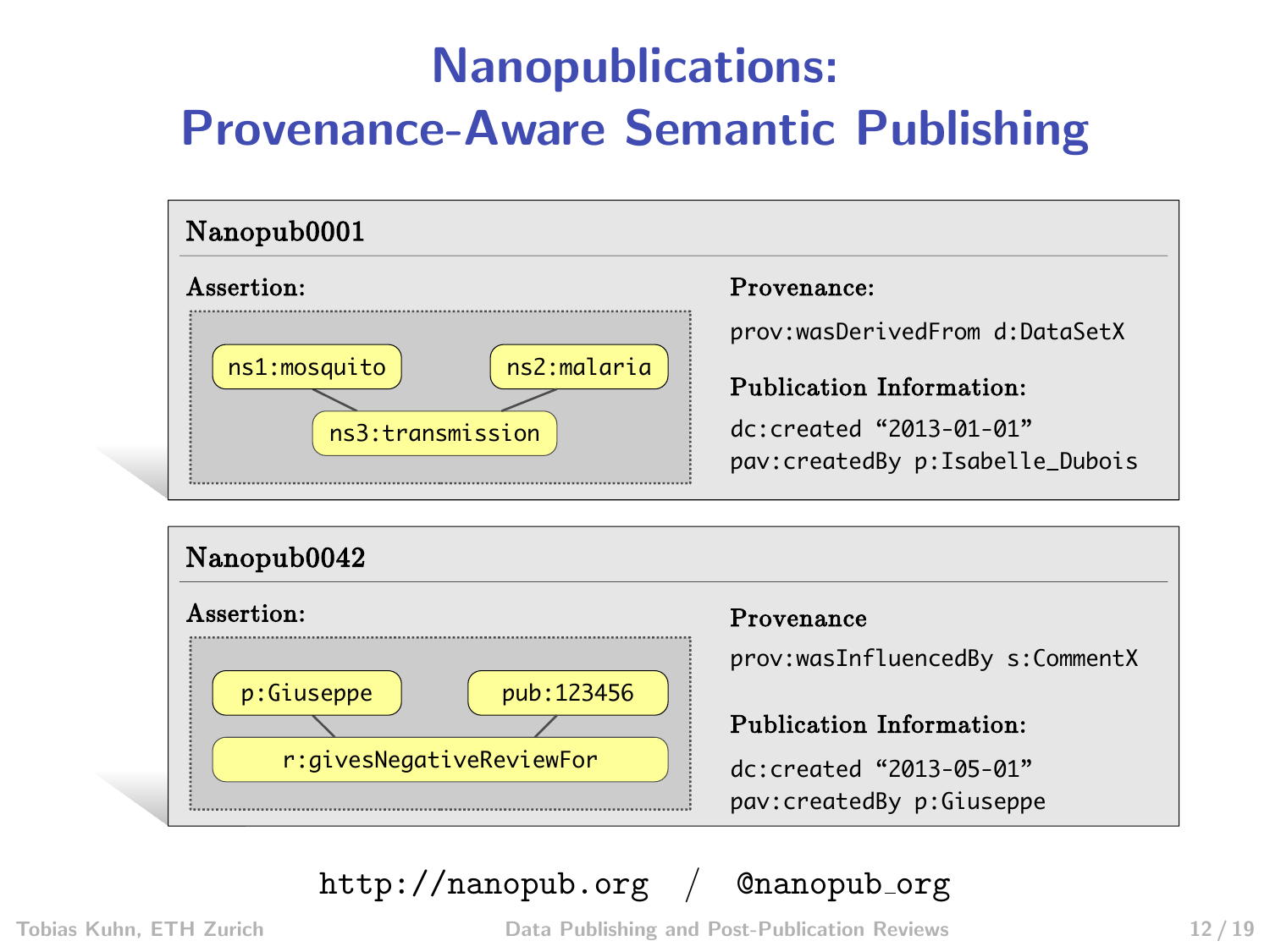# Nanopublications: Provenance-Aware Semantic Publishing





<http://nanopub.org> / @nanopub\_org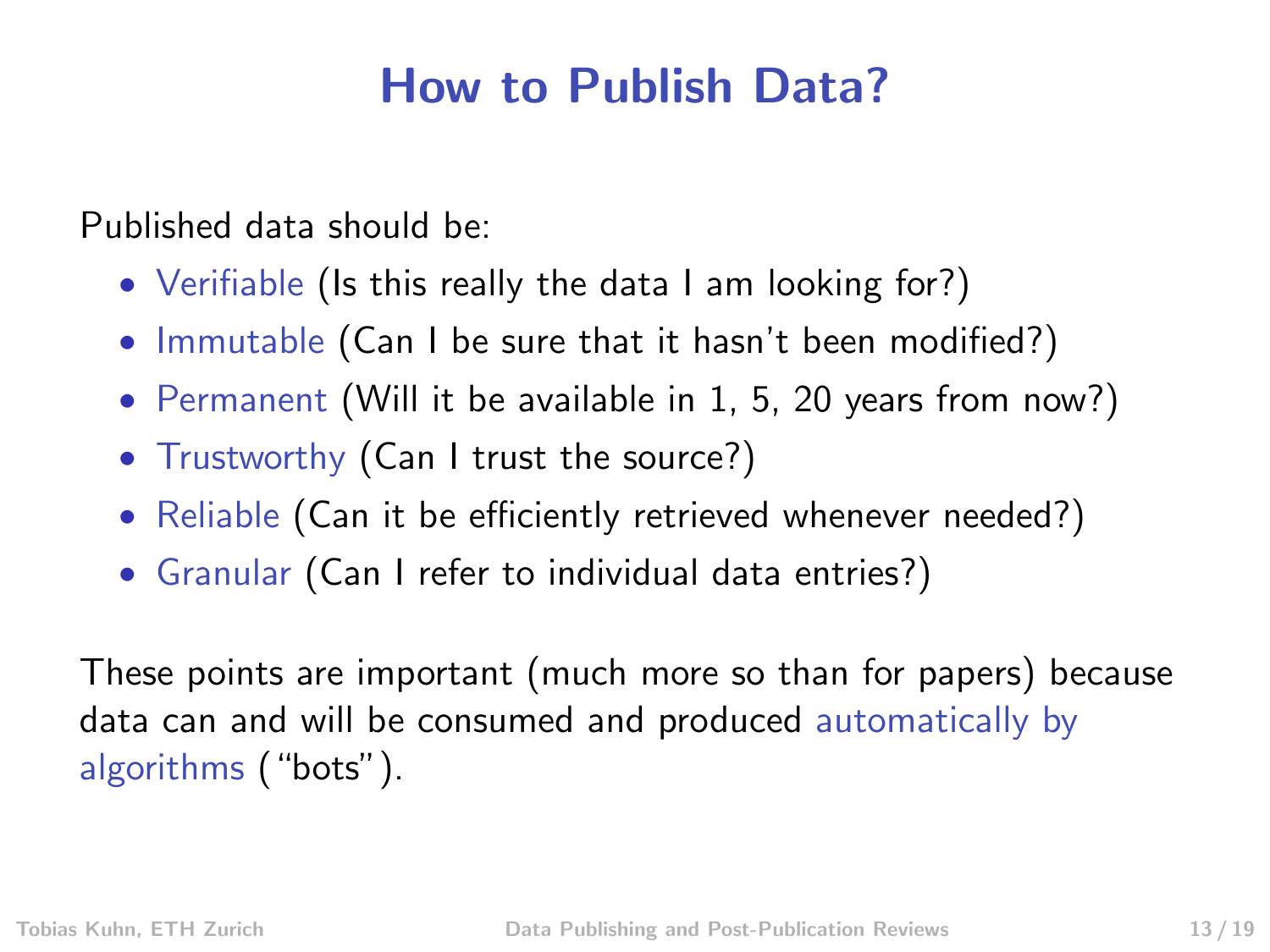### How to Publish Data?

Published data should be:

- Verifiable (Is this really the data I am looking for?)
- Immutable (Can I be sure that it hasn't been modified?)
- Permanent (Will it be available in 1, 5, 20 years from now?)
- Trustworthy (Can I trust the source?)
- Reliable (Can it be efficiently retrieved whenever needed?)
- Granular (Can I refer to individual data entries?)

These points are important (much more so than for papers) because data can and will be consumed and produced automatically by algorithms ("bots").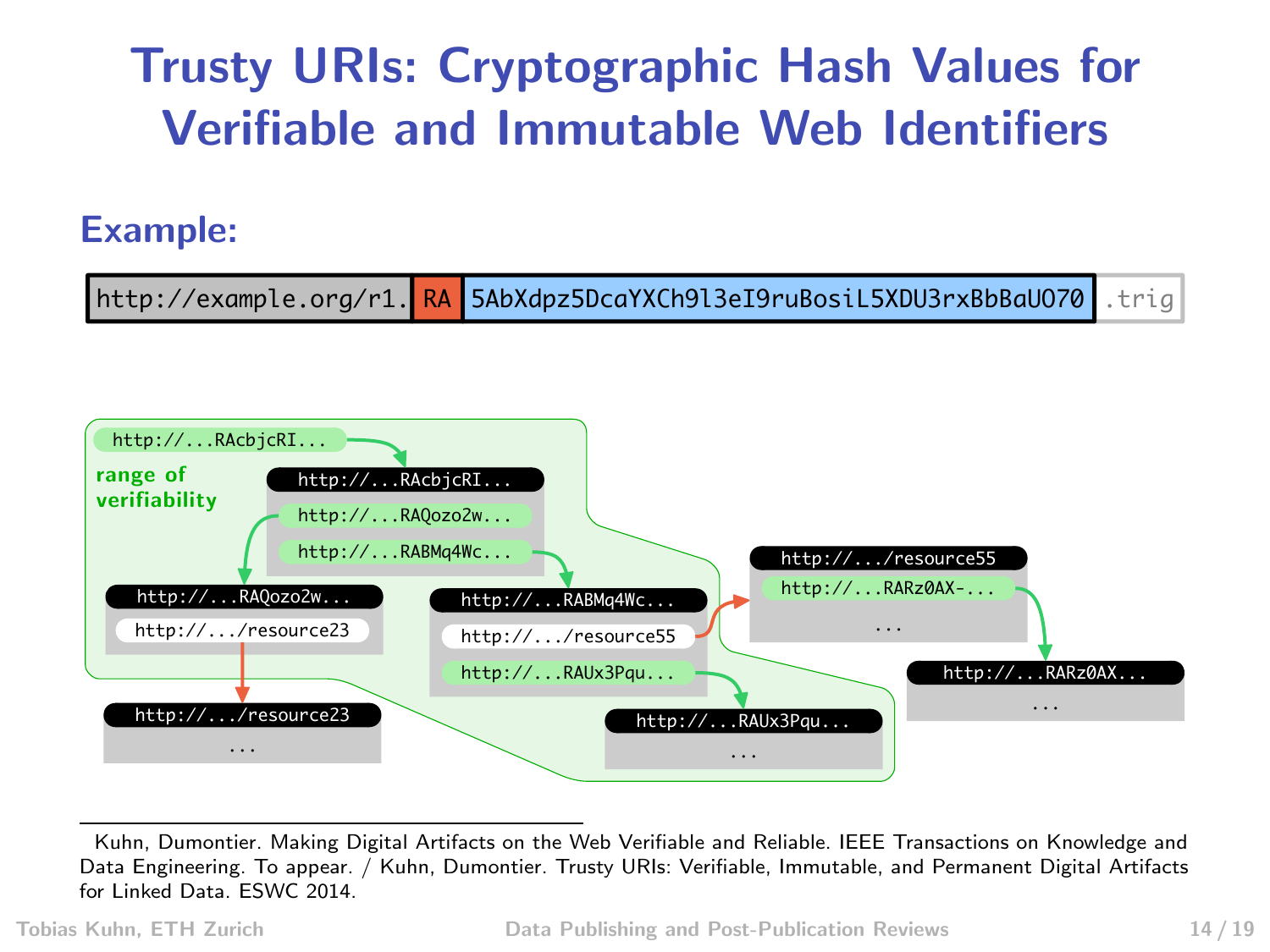## Trusty URIs: Cryptographic Hash Values for Verifiable and Immutable Web Identifiers

#### Example:





Kuhn, Dumontier. Making Digital Artifacts on the Web Verifiable and Reliable. IEEE Transactions on Knowledge and Data Engineering. To appear. / Kuhn, Dumontier. Trusty URIs: Verifiable, Immutable, and Permanent Digital Artifacts for Linked Data. ESWC 2014.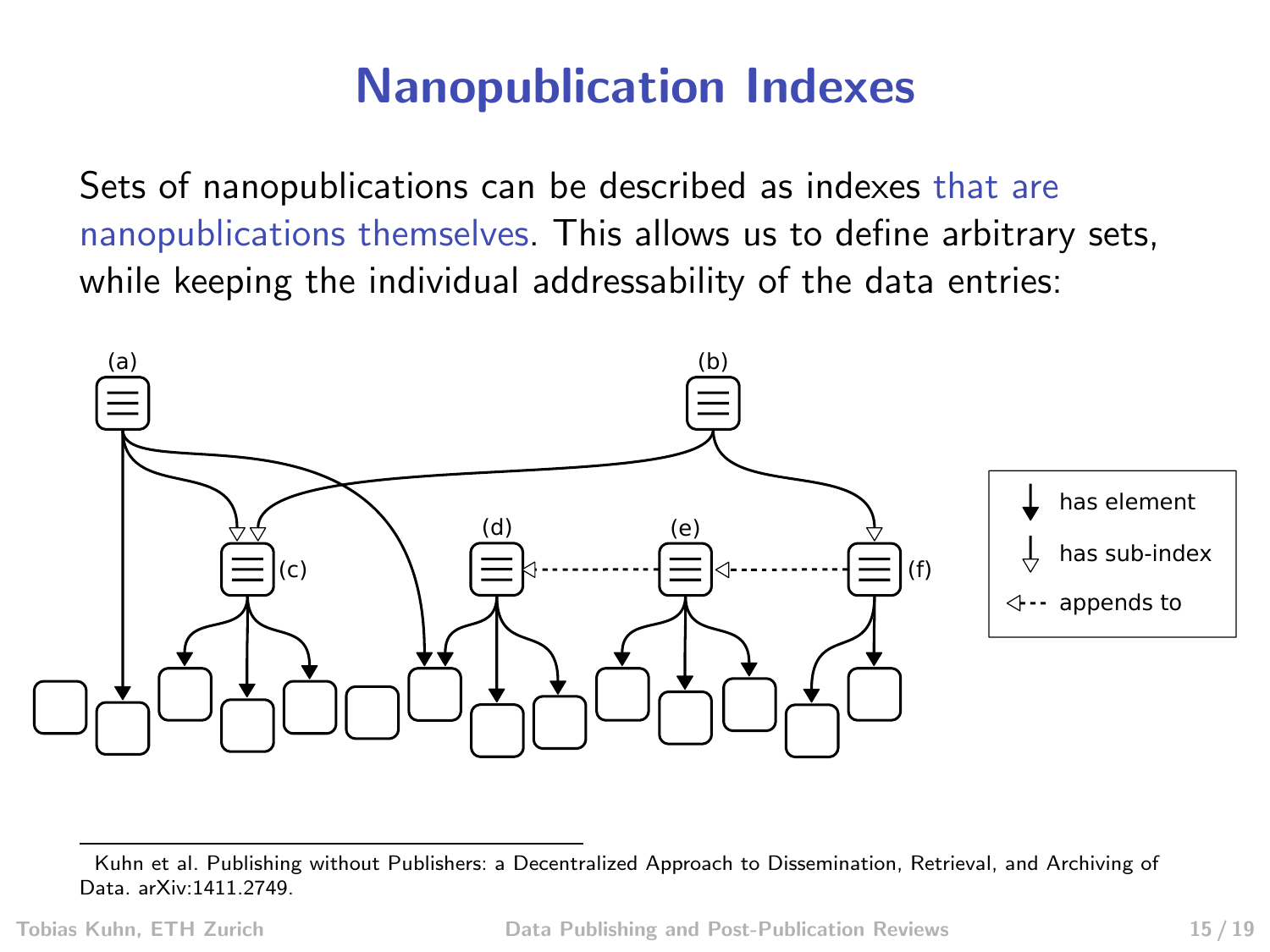### Nanopublication Indexes

Sets of nanopublications can be described as indexes that are nanopublications themselves. This allows us to define arbitrary sets, while keeping the individual addressability of the data entries:



Kuhn et al. Publishing without Publishers: a Decentralized Approach to Dissemination, Retrieval, and Archiving of Data. arXiv:1411.2749.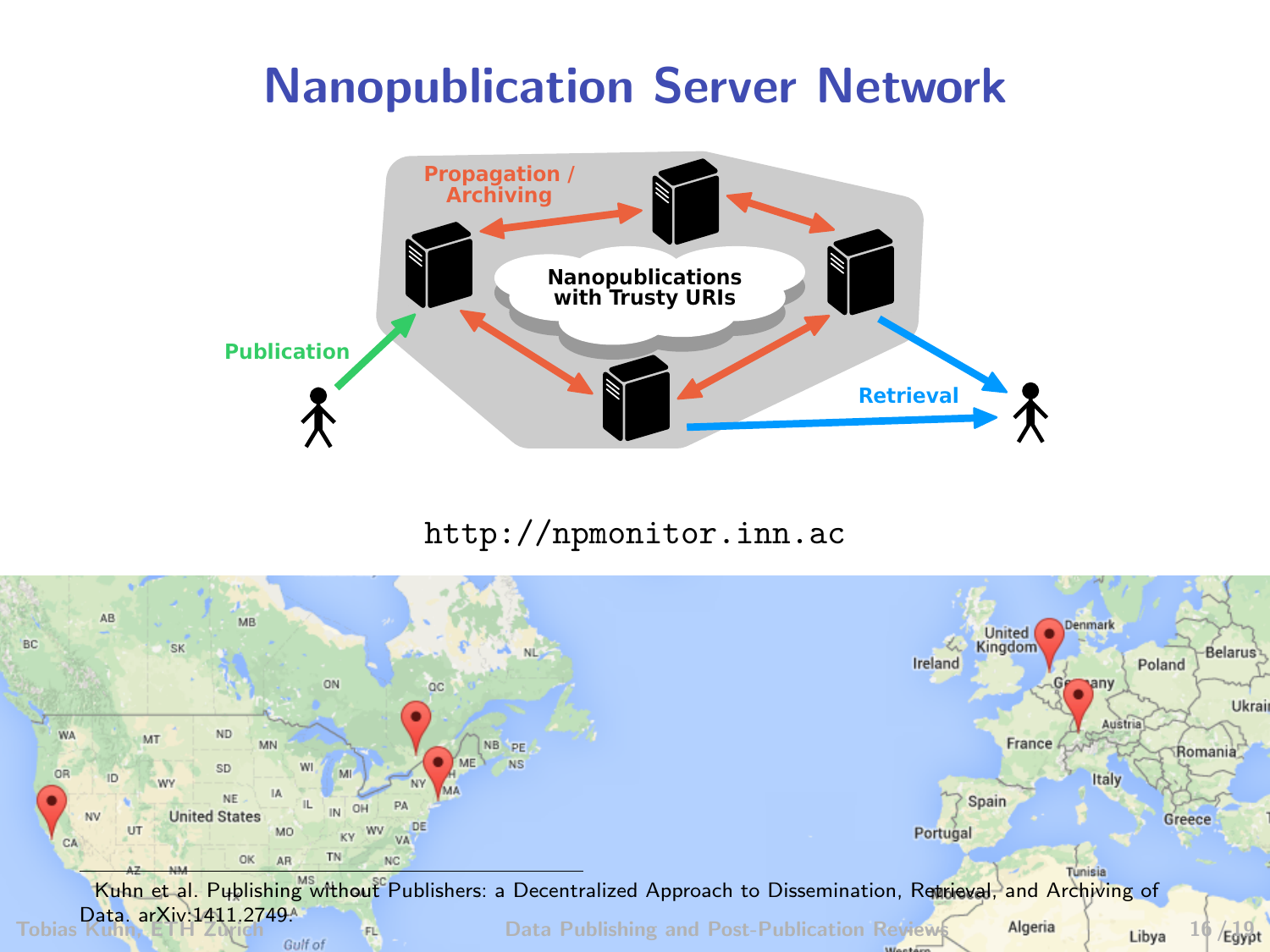### Nanopublication Server Network



<http://npmonitor.inn.ac>

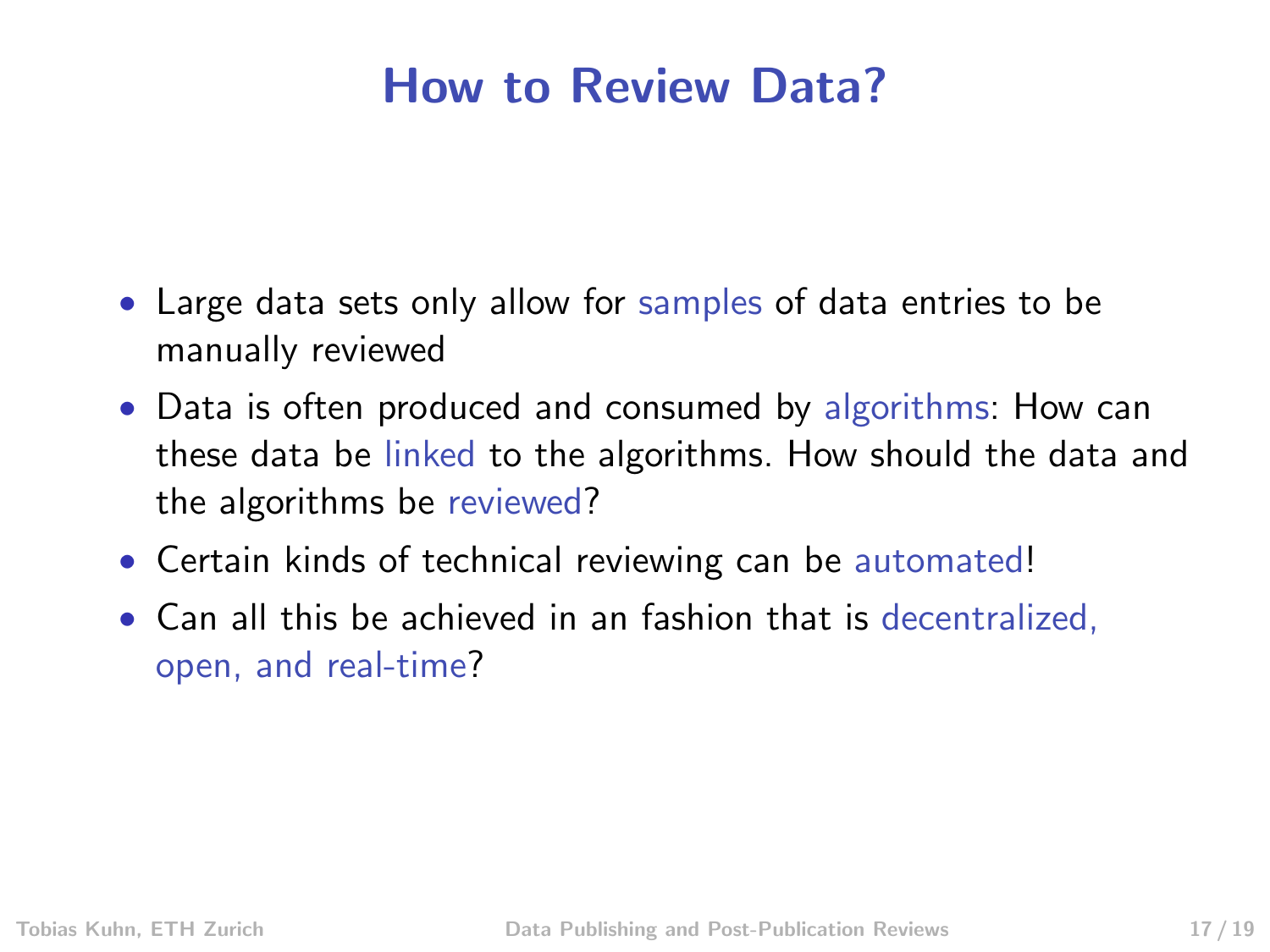### How to Review Data?

- Large data sets only allow for samples of data entries to be manually reviewed
- Data is often produced and consumed by algorithms: How can these data be linked to the algorithms. How should the data and the algorithms be reviewed?
- Certain kinds of technical reviewing can be automated!
- Can all this be achieved in an fashion that is decentralized, open, and real-time?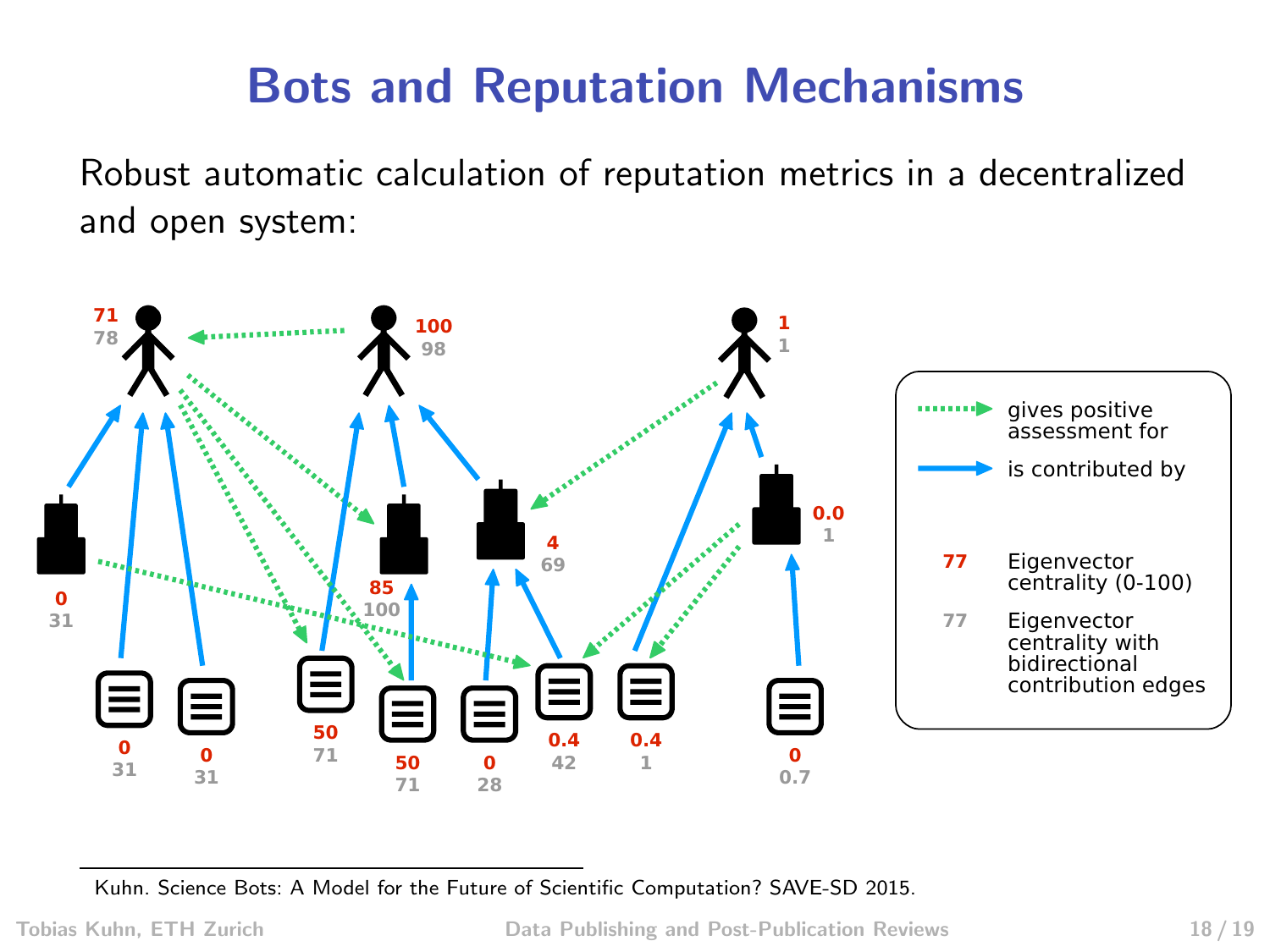### Bots and Reputation Mechanisms

Robust automatic calculation of reputation metrics in a decentralized and open system:



Kuhn. Science Bots: A Model for the Future of Scientific Computation? SAVE-SD 2015.